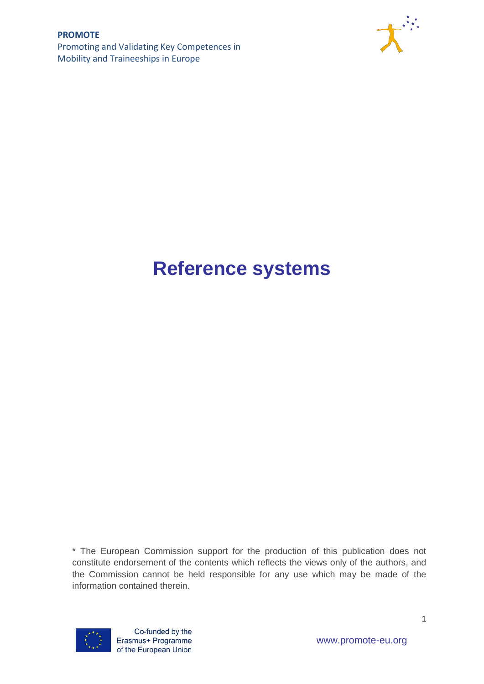

# **Reference systems**

\* The European Commission support for the production of this publication does not constitute endorsement of the contents which reflects the views only of the authors, and the Commission cannot be held responsible for any use which may be made of the information contained therein.

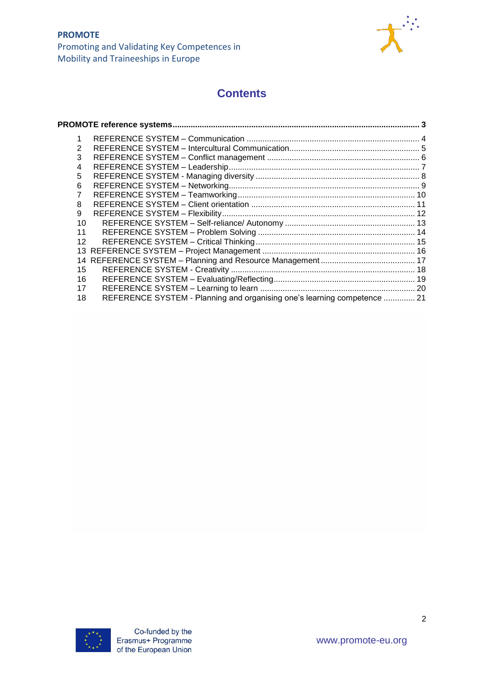

# **Contents**

| 3               |                                                                          |  |
|-----------------|--------------------------------------------------------------------------|--|
| 4               |                                                                          |  |
| 5               |                                                                          |  |
| 6               |                                                                          |  |
|                 |                                                                          |  |
| 8               |                                                                          |  |
| 9               |                                                                          |  |
| 10              |                                                                          |  |
| 11              |                                                                          |  |
| 12 <sup>2</sup> |                                                                          |  |
|                 |                                                                          |  |
|                 |                                                                          |  |
| 15              |                                                                          |  |
| 16              |                                                                          |  |
| 17              |                                                                          |  |
| 18              | REFERENCE SYSTEM - Planning and organising one's learning competence  21 |  |

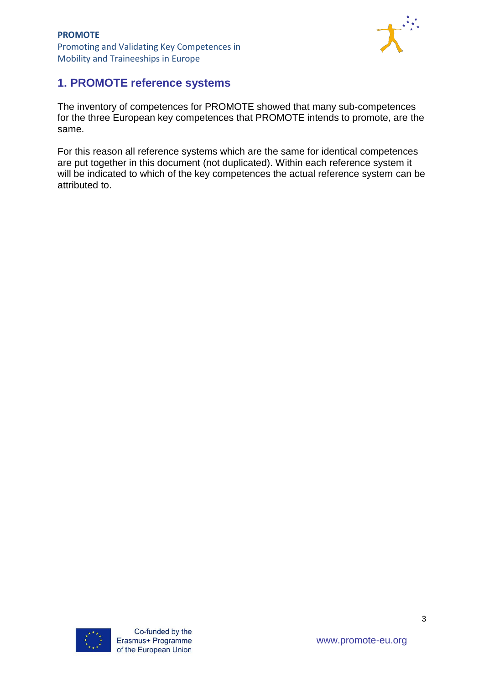

# <span id="page-2-0"></span>**1. PROMOTE reference systems**

The inventory of competences for PROMOTE showed that many sub-competences for the three European key competences that PROMOTE intends to promote, are the same.

For this reason all reference systems which are the same for identical competences are put together in this document (not duplicated). Within each reference system it will be indicated to which of the key competences the actual reference system can be attributed to.

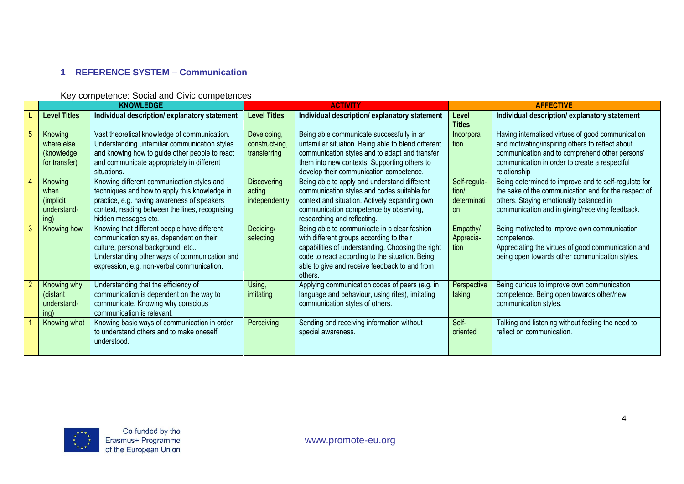## **1 REFERENCE SYSTEM – Communication**

#### Key competence: Social and Civic competences

<span id="page-3-0"></span>

|   |                                                      | <b>KNOWLEDGE</b>                                                                                                                                                                                                             | <b>ACTIVITY</b>                               |                                                                                                                                                                                                                                                              | <b>AFFECTIVE</b>                                  |                                                                                                                                                                                                                          |
|---|------------------------------------------------------|------------------------------------------------------------------------------------------------------------------------------------------------------------------------------------------------------------------------------|-----------------------------------------------|--------------------------------------------------------------------------------------------------------------------------------------------------------------------------------------------------------------------------------------------------------------|---------------------------------------------------|--------------------------------------------------------------------------------------------------------------------------------------------------------------------------------------------------------------------------|
|   | <b>Level Titles</b>                                  | Individual description/explanatory statement                                                                                                                                                                                 | <b>Level Titles</b>                           | Individual description/explanatory statement                                                                                                                                                                                                                 | Level<br><b>Titles</b>                            | Individual description/explanatory statement                                                                                                                                                                             |
| 5 | Knowing<br>where else<br>(knowledge<br>for transfer) | Vast theoretical knowledge of communication.<br>Understanding unfamiliar communication styles<br>and knowing how to guide other people to react<br>and communicate appropriately in different<br>situations.                 | Developing,<br>construct-ing,<br>transferring | Being able communicate successfully in an<br>unfamiliar situation. Being able to blend different<br>communication styles and to adapt and transfer<br>them into new contexts. Supporting others to<br>develop their communication competence.                | Incorpora<br>tion                                 | Having internalised virtues of good communication<br>and motivating/inspiring others to reflect about<br>communication and to comprehend other persons'<br>communication in order to create a respectful<br>relationship |
| 4 | Knowing<br>when<br>(implicit<br>understand-<br>ing)  | Knowing different communication styles and<br>techniques and how to apply this knowledge in<br>practice, e.g. having awareness of speakers<br>context, reading between the lines, recognising<br>hidden messages etc.        | <b>Discovering</b><br>acting<br>independently | Being able to apply and understand different<br>communication styles and codes suitable for<br>context and situation. Actively expanding own<br>communication competence by observing,<br>researching and reflecting.                                        | Self-regula-<br>tion/<br>determinati<br><b>on</b> | Being determined to improve and to self-regulate for<br>the sake of the communication and for the respect of<br>others. Staying emotionally balanced in<br>communication and in giving/receiving feedback.               |
|   | Knowing how                                          | Knowing that different people have different<br>communication styles, dependent on their<br>culture, personal background, etc<br>Understanding other ways of communication and<br>expression, e.g. non-verbal communication. | Deciding/<br>selecting                        | Being able to communicate in a clear fashion<br>with different groups according to their<br>capabilities of understanding. Choosing the right<br>code to react according to the situation. Being<br>able to give and receive feedback to and from<br>others. | Empathy/<br>Apprecia-<br>tion                     | Being motivated to improve own communication<br>competence.<br>Appreciating the virtues of good communication and<br>being open towards other communication styles.                                                      |
|   | Knowing why<br>(distant<br>understand-<br>ing)       | Understanding that the efficiency of<br>communication is dependent on the way to<br>communicate. Knowing why conscious<br>communication is relevant.                                                                         | Using,<br>imitating                           | Applying communication codes of peers (e.g. in<br>language and behaviour, using rites), imitating<br>communication styles of others.                                                                                                                         | Perspective<br>taking                             | Being curious to improve own communication<br>competence. Being open towards other/new<br>communication styles.                                                                                                          |
|   | Knowing what                                         | Knowing basic ways of communication in order<br>to understand others and to make oneself<br>understood.                                                                                                                      | Perceiving                                    | Sending and receiving information without<br>special awareness.                                                                                                                                                                                              | Self-<br>oriented                                 | Talking and listening without feeling the need to<br>reflect on communication.                                                                                                                                           |

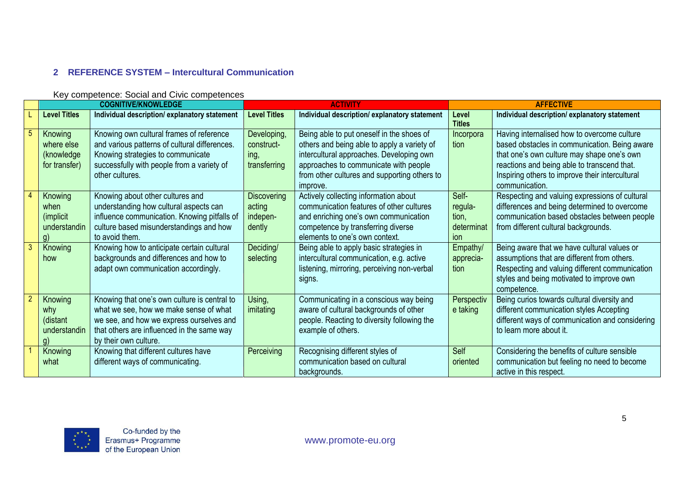## **2 REFERENCE SYSTEM – Intercultural Communication**

<span id="page-4-0"></span>

|              |                                                                      | <b>COGNITIVE/KNOWLEDGE</b>                                                                                                                                                                                |                                                    | <b>ACTIVITY</b>                                                                                                                                                                                                                           |                                                | <b>AFFECTIVE</b>                                                                                                                                                                                                                                               |
|--------------|----------------------------------------------------------------------|-----------------------------------------------------------------------------------------------------------------------------------------------------------------------------------------------------------|----------------------------------------------------|-------------------------------------------------------------------------------------------------------------------------------------------------------------------------------------------------------------------------------------------|------------------------------------------------|----------------------------------------------------------------------------------------------------------------------------------------------------------------------------------------------------------------------------------------------------------------|
|              | <b>Level Titles</b>                                                  | Individual description/explanatory statement                                                                                                                                                              | <b>Level Titles</b>                                | Individual description/explanatory statement                                                                                                                                                                                              | Level<br><b>Titles</b>                         | Individual description/explanatory statement                                                                                                                                                                                                                   |
|              | Knowing<br>where else<br>(knowledge<br>for transfer)                 | Knowing own cultural frames of reference<br>and various patterns of cultural differences.<br>Knowing strategies to communicate<br>successfully with people from a variety of<br>other cultures.           | Developing,<br>construct-<br>ing,<br>transferring  | Being able to put oneself in the shoes of<br>others and being able to apply a variety of<br>intercultural approaches. Developing own<br>approaches to communicate with people<br>from other cultures and supporting others to<br>improve. | Incorpora<br>tion                              | Having internalised how to overcome culture<br>based obstacles in communication. Being aware<br>that one's own culture may shape one's own<br>reactions and being able to transcend that.<br>Inspiring others to improve their intercultural<br>communication. |
|              | Knowing<br>when<br><i>(implicit)</i><br>understandin<br>$\mathsf{q}$ | Knowing about other cultures and<br>understanding how cultural aspects can<br>influence communication. Knowing pitfalls of<br>culture based misunderstandings and how<br>to avoid them.                   | <b>Discovering</b><br>acting<br>indepen-<br>dently | Actively collecting information about<br>communication features of other cultures<br>and enriching one's own communication<br>competence by transferring diverse<br>elements to one's own context.                                        | Self-<br>regula-<br>tion,<br>determinat<br>ion | Respecting and valuing expressions of cultural<br>differences and being determined to overcome<br>communication based obstacles between people<br>from different cultural backgrounds.                                                                         |
| $\mathbf{3}$ | Knowing<br>how                                                       | Knowing how to anticipate certain cultural<br>backgrounds and differences and how to<br>adapt own communication accordingly.                                                                              | Deciding/<br>selecting                             | Being able to apply basic strategies in<br>intercultural communication, e.g. active<br>listening, mirroring, perceiving non-verbal<br>signs.                                                                                              | Empathy/<br>apprecia-<br>tion                  | Being aware that we have cultural values or<br>assumptions that are different from others.<br>Respecting and valuing different communication<br>styles and being motivated to improve own<br>competence.                                                       |
|              | Knowing<br>why<br>(distant<br>understandin<br>$\mathsf{q}$           | Knowing that one's own culture is central to<br>what we see, how we make sense of what<br>we see, and how we express ourselves and<br>that others are influenced in the same way<br>by their own culture. | Using,<br>imitating                                | Communicating in a conscious way being<br>aware of cultural backgrounds of other<br>people. Reacting to diversity following the<br>example of others.                                                                                     | Perspectiv<br>e taking                         | Being curios towards cultural diversity and<br>different communication styles Accepting<br>different ways of communication and considering<br>to learn more about it.                                                                                          |
|              | Knowing<br>what                                                      | Knowing that different cultures have<br>different ways of communicating.                                                                                                                                  | Perceiving                                         | Recognising different styles of<br>communication based on cultural<br>backgrounds.                                                                                                                                                        | Self<br>oriented                               | Considering the benefits of culture sensible<br>communication but feeling no need to become<br>active in this respect.                                                                                                                                         |

#### Key competence: Social and Civic competences

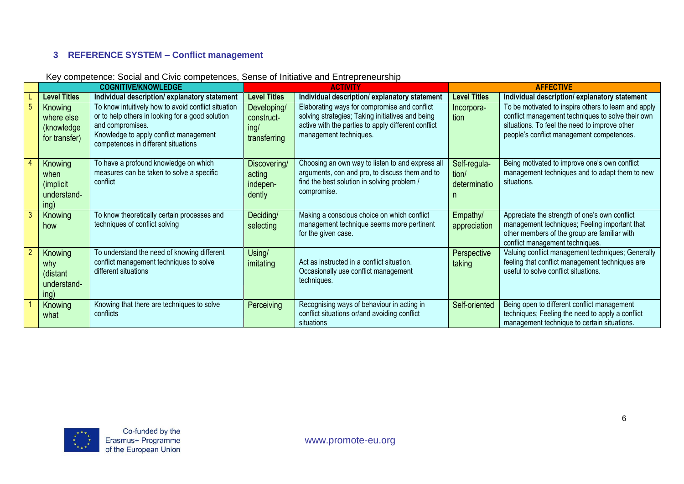# **3 REFERENCE SYSTEM – Conflict management**

<span id="page-5-0"></span>

|    |                                                      | <b>COGNITIVE/KNOWLEDGE</b>                                                                                                                                                                                   |                                                   | <b>ACTIVITY</b>                                                                                                                                                                   | <b>AFFECTIVE</b>                           |                                                                                                                                                                                                         |
|----|------------------------------------------------------|--------------------------------------------------------------------------------------------------------------------------------------------------------------------------------------------------------------|---------------------------------------------------|-----------------------------------------------------------------------------------------------------------------------------------------------------------------------------------|--------------------------------------------|---------------------------------------------------------------------------------------------------------------------------------------------------------------------------------------------------------|
|    | <b>Level Titles</b>                                  | Individual description/explanatory statement                                                                                                                                                                 | <b>Level Titles</b>                               | Individual description/explanatory statement                                                                                                                                      | <b>Level Titles</b>                        | Individual description/explanatory statement                                                                                                                                                            |
|    | Knowing<br>where else<br>(knowledge<br>for transfer) | To know intuitively how to avoid conflict situation<br>or to help others in looking for a good solution<br>and compromises.<br>Knowledge to apply conflict management<br>competences in different situations | Developing/<br>construct-<br>ing/<br>transferring | Elaborating ways for compromise and conflict<br>solving strategies; Taking initiatives and being<br>active with the parties to apply different conflict<br>management techniques. | Incorpora-<br>tion                         | To be motivated to inspire others to learn and apply<br>conflict management techniques to solve their own<br>situations. To feel the need to improve other<br>people's conflict management competences. |
|    | Knowing<br>when<br>(implicit)<br>understand-<br>ing) | To have a profound knowledge on which<br>measures can be taken to solve a specific<br>conflict                                                                                                               | Discovering/<br>acting<br>indepen-<br>dently      | Choosing an own way to listen to and express all<br>arguments, con and pro, to discuss them and to<br>find the best solution in solving problem /<br>compromise.                  | Self-regula-<br>tion/<br>determinatio<br>n | Being motivated to improve one's own conflict<br>management techniques and to adapt them to new<br>situations.                                                                                          |
| -3 | Knowing<br>how                                       | To know theoretically certain processes and<br>techniques of conflict solving                                                                                                                                | Deciding/<br>selecting                            | Making a conscious choice on which conflict<br>management technique seems more pertinent<br>for the given case.                                                                   | Empathy/<br>appreciation                   | Appreciate the strength of one's own conflict<br>management techniques; Feeling important that<br>other members of the group are familiar with<br>conflict management techniques.                       |
|    | Knowing<br>why<br>(distant<br>understand-<br>ing)    | To understand the need of knowing different<br>conflict management techniques to solve<br>different situations                                                                                               | Using/<br>imitating                               | Act as instructed in a conflict situation.<br>Occasionally use conflict management<br>techniques.                                                                                 | Perspective<br>taking                      | Valuing conflict management techniques; Generally<br>feeling that conflict management techniques are<br>useful to solve conflict situations.                                                            |
|    | Knowing<br>what                                      | Knowing that there are techniques to solve<br>conflicts                                                                                                                                                      | <b>Perceiving</b>                                 | Recognising ways of behaviour in acting in<br>conflict situations or/and avoiding conflict<br>situations                                                                          | Self-oriented                              | Being open to different conflict management<br>techniques; Feeling the need to apply a conflict<br>management technique to certain situations.                                                          |

#### Key competence: Social and Civic competences, Sense of Initiative and Entrepreneurship

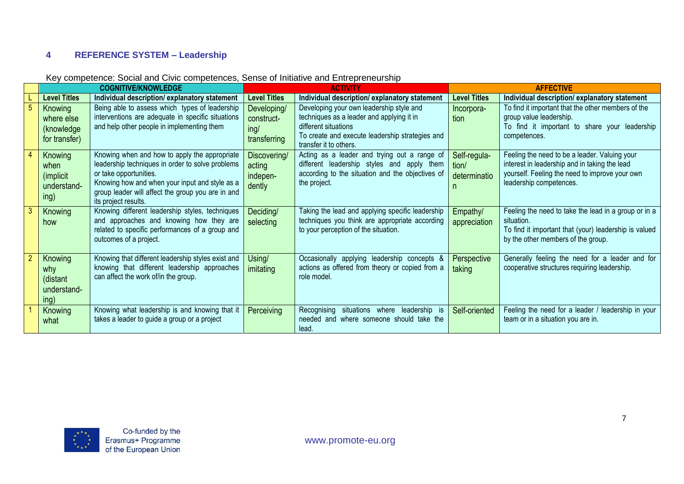#### **4 REFERENCE SYSTEM – Leadership**

<span id="page-6-0"></span>

|                                                               | <b>COGNITIVE/KNOWLEDGE</b>                                                                                                                                                                                                                                 | <b>ACTIVITY</b>                                   |                                                                                                                                                                                            | <b>AFFECTIVE</b>                      |                                                                                                                                                                             |
|---------------------------------------------------------------|------------------------------------------------------------------------------------------------------------------------------------------------------------------------------------------------------------------------------------------------------------|---------------------------------------------------|--------------------------------------------------------------------------------------------------------------------------------------------------------------------------------------------|---------------------------------------|-----------------------------------------------------------------------------------------------------------------------------------------------------------------------------|
| <b>Level Titles</b>                                           | Individual description/explanatory statement                                                                                                                                                                                                               | <b>Level Titles</b>                               | Individual description/explanatory statement                                                                                                                                               | <b>Level Titles</b>                   | Individual description/explanatory statement                                                                                                                                |
| Knowing<br>where else<br>(knowledge)<br>for transfer)         | Being able to assess which types of leadership<br>interventions are adequate in specific situations<br>and help other people in implementing them                                                                                                          | Developing/<br>construct-<br>inq/<br>transferring | Developing your own leadership style and<br>techniques as a leader and applying it in<br>different situations<br>To create and execute leadership strategies and<br>transfer it to others. | Incorpora-<br>tion                    | To find it important that the other members of the<br>group value leadership.<br>To find it important to share your leadership<br>competences.                              |
| Knowing<br>when<br>( <i>implicit</i> )<br>understand-<br>ing) | Knowing when and how to apply the appropriate<br>leadership techniques in order to solve problems<br>or take opportunities.<br>Knowing how and when your input and style as a<br>group leader will affect the group you are in and<br>its project results. | Discovering/<br>acting<br>indepen-<br>dently      | Acting as a leader and trying out a range of<br>different leadership styles and apply them<br>according to the situation and the objectives of<br>the project.                             | Self-regula-<br>tion/<br>determinatio | Feeling the need to be a leader. Valuing your<br>interest in leadership and in taking the lead<br>yourself. Feeling the need to improve your own<br>leadership competences. |
| Knowing<br>how                                                | Knowing different leadership styles, techniques<br>and approaches and knowing how they are<br>related to specific performances of a group and<br>outcomes of a project.                                                                                    | Deciding/<br>selecting                            | Taking the lead and applying specific leadership<br>techniques you think are appropriate according<br>to your perception of the situation.                                                 | Empathy/<br>appreciation              | Feeling the need to take the lead in a group or in a<br>situation.<br>To find it important that (your) leadership is valued<br>by the other members of the group.           |
| Knowing<br>why<br>(distant<br>understand-<br>ing)             | Knowing that different leadership styles exist and<br>knowing that different leadership approaches<br>can affect the work of/in the group.                                                                                                                 | Using/<br>imitating                               | Occasionally applying leadership concepts &<br>actions as offered from theory or copied from a<br>role model.                                                                              | Perspective<br>taking                 | Generally feeling the need for a leader and for<br>cooperative structures requiring leadership.                                                                             |
| Knowing<br>what                                               | Knowing what leadership is and knowing that it<br>takes a leader to guide a group or a project                                                                                                                                                             | Perceiving                                        | leadership<br>Recognising<br>situations<br>where<br>is.<br>needed and where someone should take the<br>lead                                                                                | Self-oriented                         | Feeling the need for a leader / leadership in your<br>team or in a situation you are in.                                                                                    |

#### Key competence: Social and Civic competences, Sense of Initiative and Entrepreneurship

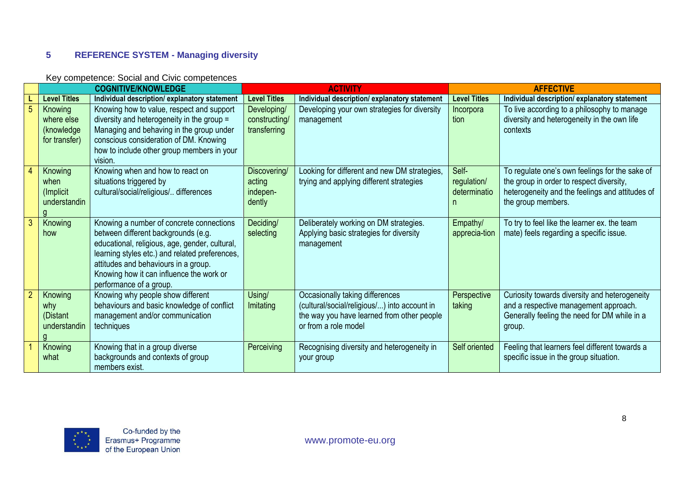## **5 REFERENCE SYSTEM - Managing diversity**

#### Key competence: Social and Civic competences

<span id="page-7-0"></span>

|                | <b>COGNITIVE/KNOWLEDGE</b>                           |                                                                                                                                                                                                                                                                                                    | <b>ACTIVITY</b>                              |                                                                                                                                                       | <b>AFFECTIVE</b>                          |                                                                                                                                                                     |
|----------------|------------------------------------------------------|----------------------------------------------------------------------------------------------------------------------------------------------------------------------------------------------------------------------------------------------------------------------------------------------------|----------------------------------------------|-------------------------------------------------------------------------------------------------------------------------------------------------------|-------------------------------------------|---------------------------------------------------------------------------------------------------------------------------------------------------------------------|
|                | <b>Level Titles</b>                                  | Individual description/explanatory statement                                                                                                                                                                                                                                                       | <b>Level Titles</b>                          | Individual description/explanatory statement                                                                                                          | <b>Level Titles</b>                       | Individual description/explanatory statement                                                                                                                        |
| 5              | Knowing<br>where else<br>(knowledge<br>for transfer) | Knowing how to value, respect and support<br>diversity and heterogeneity in the group =<br>Managing and behaving in the group under<br>conscious consideration of DM. Knowing                                                                                                                      | Developing/<br>constructing/<br>transferring | Developing your own strategies for diversity<br>management                                                                                            | Incorpora<br>tion                         | To live according to a philosophy to manage<br>diversity and heterogeneity in the own life<br>contexts                                                              |
|                |                                                      | how to include other group members in your<br>vision.                                                                                                                                                                                                                                              |                                              |                                                                                                                                                       |                                           |                                                                                                                                                                     |
| 4              | Knowing<br>when<br>(Implicit)<br>understandin        | Knowing when and how to react on<br>situations triggered by<br>cultural/social/religious/ differences                                                                                                                                                                                              | Discovering/<br>acting<br>indepen-<br>dently | Looking for different and new DM strategies,<br>trying and applying different strategies                                                              | Self-<br>regulation/<br>determinatio<br>n | To regulate one's own feelings for the sake of<br>the group in order to respect diversity,<br>heterogeneity and the feelings and attitudes of<br>the group members. |
| $\mathbf{3}$   | Knowing<br>how                                       | Knowing a number of concrete connections<br>between different backgrounds (e.g.<br>educational, religious, age, gender, cultural,<br>learning styles etc.) and related preferences,<br>attitudes and behaviours in a group.<br>Knowing how it can influence the work or<br>performance of a group. | Deciding/<br>selecting                       | Deliberately working on DM strategies.<br>Applying basic strategies for diversity<br>management                                                       | Empathy/<br>apprecia-tion                 | To try to feel like the learner ex. the team<br>mate) feels regarding a specific issue.                                                                             |
| $\overline{2}$ | Knowing<br>why<br>(Distant<br>understandin           | Knowing why people show different<br>behaviours and basic knowledge of conflict<br>management and/or communication<br>techniques                                                                                                                                                                   | Using/<br>Imitating                          | Occasionally taking differences<br>(cultural/social/religious/) into account in<br>the way you have learned from other people<br>or from a role model | Perspective<br>taking                     | Curiosity towards diversity and heterogeneity<br>and a respective management approach.<br>Generally feeling the need for DM while in a<br>group.                    |
|                | Knowing<br>what                                      | Knowing that in a group diverse<br>backgrounds and contexts of group<br>members exist.                                                                                                                                                                                                             | Perceiving                                   | Recognising diversity and heterogeneity in<br>your group                                                                                              | Self oriented                             | Feeling that learners feel different towards a<br>specific issue in the group situation.                                                                            |

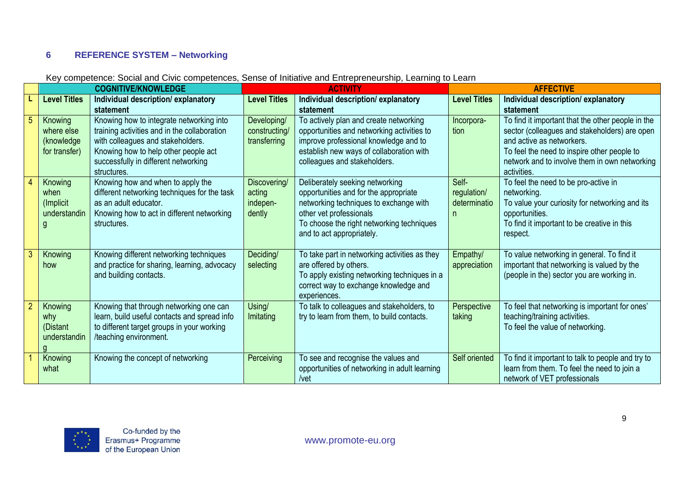## **6 REFERENCE SYSTEM – Networking**

<span id="page-8-0"></span>

|                |                     | <b>COGNITIVE/KNOWLEDGE</b>                                                              |                     | <b>ACTIVITY</b>                                                          |                          | <b>AFFECTIVE</b>                                                                             |
|----------------|---------------------|-----------------------------------------------------------------------------------------|---------------------|--------------------------------------------------------------------------|--------------------------|----------------------------------------------------------------------------------------------|
|                | <b>Level Titles</b> | Individual description/explanatory                                                      | <b>Level Titles</b> | Individual description/explanatory                                       | <b>Level Titles</b>      | Individual description/explanatory                                                           |
|                |                     | statement                                                                               |                     | statement                                                                |                          | statement                                                                                    |
| 5              | Knowing             | Knowing how to integrate networking into                                                | Developing/         | To actively plan and create networking                                   | Incorpora-               | To find it important that the other people in the                                            |
|                | where else          | training activities and in the collaboration                                            | constructing/       | opportunities and networking activities to                               | tion                     | sector (colleagues and stakeholders) are open                                                |
|                | (knowledge          | with colleagues and stakeholders.                                                       | transferring        | improve professional knowledge and to                                    |                          | and active as networkers.                                                                    |
|                | for transfer)       | Knowing how to help other people act<br>successfully in different networking            |                     | establish new ways of collaboration with<br>colleagues and stakeholders. |                          | To feel the need to inspire other people to<br>network and to involve them in own networking |
|                |                     | structures.                                                                             |                     |                                                                          |                          | activities.                                                                                  |
|                | Knowing             | Knowing how and when to apply the                                                       | Discovering/        | Deliberately seeking networking                                          | Self-                    | To feel the need to be pro-active in                                                         |
|                | when                | different networking techniques for the task                                            | acting              | opportunities and for the appropriate                                    | regulation/              | networking.                                                                                  |
|                | (Implicit)          | as an adult educator.                                                                   | indepen-            | networking techniques to exchange with                                   | determinatio             | To value your curiosity for networking and its                                               |
|                | understandin        | Knowing how to act in different networking                                              | dently              | other vet professionals                                                  | n                        | opportunities.                                                                               |
|                |                     | structures.                                                                             |                     | To choose the right networking techniques                                |                          | To find it important to be creative in this                                                  |
|                |                     |                                                                                         |                     | and to act appropriately.                                                |                          | respect.                                                                                     |
|                |                     |                                                                                         | Deciding/           |                                                                          |                          |                                                                                              |
|                | Knowing<br>how      | Knowing different networking techniques<br>and practice for sharing, learning, advocacy | selecting           | To take part in networking activities as they<br>are offered by others.  | Empathy/<br>appreciation | To value networking in general. To find it<br>important that networking is valued by the     |
|                |                     | and building contacts.                                                                  |                     | To apply existing networking techniques in a                             |                          | (people in the) sector you are working in.                                                   |
|                |                     |                                                                                         |                     | correct way to exchange knowledge and                                    |                          |                                                                                              |
|                |                     |                                                                                         |                     | experiences.                                                             |                          |                                                                                              |
| $\overline{2}$ | Knowing             | Knowing that through networking one can                                                 | Using/              | To talk to colleagues and stakeholders, to                               | Perspective              | To feel that networking is important for ones'                                               |
|                | why                 | learn, build useful contacts and spread info                                            | Imitating           | try to learn from them, to build contacts.                               | taking                   | teaching/training activities.                                                                |
|                | (Distant            | to different target groups in your working                                              |                     |                                                                          |                          | To feel the value of networking.                                                             |
|                | understandin        | /teaching environment.                                                                  |                     |                                                                          |                          |                                                                                              |
|                | Knowing             | Knowing the concept of networking                                                       | Perceiving          | To see and recognise the values and                                      | Self oriented            | To find it important to talk to people and try to                                            |
|                | what                |                                                                                         |                     | opportunities of networking in adult learning                            |                          | learn from them. To feel the need to join a                                                  |
|                |                     |                                                                                         |                     | /vet                                                                     |                          | network of VET professionals                                                                 |

## Key competence: Social and Civic competences, Sense of Initiative and Entrepreneurship, Learning to Learn

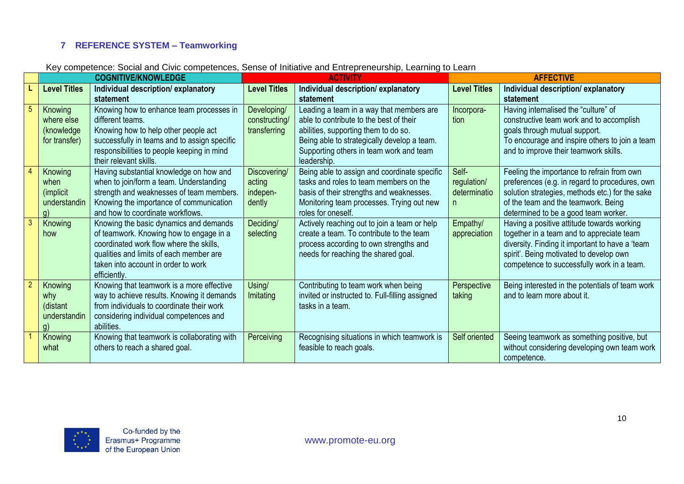## **7 REFERENCE SYSTEM – Teamworking**

|  |  | Key competence: Social and Civic competences, Sense of Initiative and Entrepreneurship, Learning to Learn |  |  |  |
|--|--|-----------------------------------------------------------------------------------------------------------|--|--|--|
|--|--|-----------------------------------------------------------------------------------------------------------|--|--|--|

<span id="page-9-0"></span>

|                |                                                            | <b>COGNITIVE/KNOWLEDGE</b>                                                                                                                                                                                                     | <b>ACTIVITY</b>                              |                                                                                                                                                                                                                                      | <b>AFFECTIVE</b>                           |                                                                                                                                                                                                                                     |
|----------------|------------------------------------------------------------|--------------------------------------------------------------------------------------------------------------------------------------------------------------------------------------------------------------------------------|----------------------------------------------|--------------------------------------------------------------------------------------------------------------------------------------------------------------------------------------------------------------------------------------|--------------------------------------------|-------------------------------------------------------------------------------------------------------------------------------------------------------------------------------------------------------------------------------------|
|                | <b>Level Titles</b>                                        | Individual description/explanatory<br>statement                                                                                                                                                                                | <b>Level Titles</b>                          | Individual description/explanatory<br>statement                                                                                                                                                                                      | <b>Level Titles</b>                        | Individual description/explanatory<br>statement                                                                                                                                                                                     |
|                | Knowing<br>where else<br>(knowledge<br>for transfer)       | Knowing how to enhance team processes in<br>different teams.<br>Knowing how to help other people act<br>successfully in teams and to assign specific<br>responsibilities to people keeping in mind<br>their relevant skills.   | Developing/<br>constructing/<br>transferring | Leading a team in a way that members are<br>able to contribute to the best of their<br>abilities, supporting them to do so.<br>Being able to strategically develop a team.<br>Supporting others in team work and team<br>leadership. | Incorpora-<br>tion                         | Having internalised the "culture" of<br>constructive team work and to accomplish<br>goals through mutual support.<br>To encourage and inspire others to join a team<br>and to improve their teamwork skills.                        |
|                | Knowing<br>when<br>( <i>implicit</i><br>understandin<br>g) | Having substantial knowledge on how and<br>when to join/form a team. Understanding<br>strength and weaknesses of team members.<br>Knowing the importance of communication<br>and how to coordinate workflows.                  | Discovering/<br>acting<br>indepen-<br>dently | Being able to assign and coordinate specific<br>tasks and roles to team members on the<br>basis of their strengths and weaknesses.<br>Monitoring team processes. Trying out new<br>roles for oneself.                                | Self-<br>regulation/<br>determinatio<br>n. | Feeling the importance to refrain from own<br>preferences (e.g. in regard to procedures, own<br>solution strategies, methods etc.) for the sake<br>of the team and the teamwork. Being<br>determined to be a good team worker.      |
| $\mathbf{3}$   | Knowing<br>how                                             | Knowing the basic dynamics and demands<br>of teamwork. Knowing how to engage in a<br>coordinated work flow where the skills,<br>qualities and limits of each member are<br>taken into account in order to work<br>efficiently. | Deciding/<br>selecting                       | Actively reaching out to join a team or help<br>create a team. To contribute to the team<br>process according to own strengths and<br>needs for reaching the shared goal.                                                            | Empathy/<br>appreciation                   | Having a positive attitude towards working<br>together in a team and to appreciate team<br>diversity. Finding it important to have a 'team<br>spirit'. Being motivated to develop own<br>competence to successfully work in a team. |
| $\overline{2}$ | Knowing<br>why<br>(distant<br>understandin<br>g)           | Knowing that teamwork is a more effective<br>way to achieve results. Knowing it demands<br>from individuals to coordinate their work<br>considering individual competences and<br>abilities.                                   | Using/<br>Imitating                          | Contributing to team work when being<br>invited or instructed to. Full-filling assigned<br>tasks in a team.                                                                                                                          | Perspective<br>taking                      | Being interested in the potentials of team work<br>and to learn more about it.                                                                                                                                                      |
|                | Knowing<br>what                                            | Knowing that teamwork is collaborating with<br>others to reach a shared goal.                                                                                                                                                  | <b>Perceiving</b>                            | Recognising situations in which teamwork is<br>feasible to reach goals.                                                                                                                                                              | Self oriented                              | Seeing teamwork as something positive, but<br>without considering developing own team work<br>competence.                                                                                                                           |

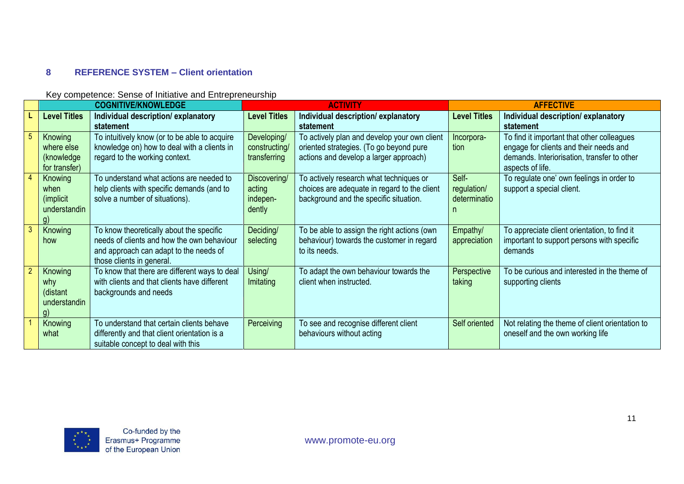## **8 REFERENCE SYSTEM – Client orientation**

#### Key competence: Sense of Initiative and Entrepreneurship

<span id="page-10-0"></span>

|                |                     | <b>COGNITIVE/KNOWLEDGE</b>                    |                     | <b>ACTIVITY</b>                              |                     | <b>AFFECTIVE</b>                                |
|----------------|---------------------|-----------------------------------------------|---------------------|----------------------------------------------|---------------------|-------------------------------------------------|
|                | <b>Level Titles</b> | Individual description/explanatory            | <b>Level Titles</b> | Individual description/explanatory           | <b>Level Titles</b> | Individual description/explanatory              |
|                |                     | statement                                     |                     | statement                                    |                     | statement                                       |
|                | Knowing             | To intuitively know (or to be able to acquire | Developing/         | To actively plan and develop your own client | Incorpora-          | To find it important that other colleagues      |
|                | where else          | knowledge on) how to deal with a clients in   | constructing/       | oriented strategies. (To go beyond pure      | tion                | engage for clients and their needs and          |
|                | (knowledge)         | regard to the working context.                | transferring        | actions and develop a larger approach)       |                     | demands. Interiorisation, transfer to other     |
|                | for transfer)       |                                               |                     |                                              |                     | aspects of life.                                |
| $\overline{4}$ | Knowing             | To understand what actions are needed to      | Discovering/        | To actively research what techniques or      | Self-               | To regulate one' own feelings in order to       |
|                | when                | help clients with specific demands (and to    | acting              | choices are adequate in regard to the client | regulation/         | support a special client.                       |
|                | (implicit)          | solve a number of situations).                | indepen-            | background and the specific situation.       | determinatio        |                                                 |
|                | understandin        |                                               | dently              |                                              |                     |                                                 |
|                | $\mathsf{q}$        |                                               |                     |                                              |                     |                                                 |
| 3              | Knowing             | To know theoretically about the specific      | Deciding/           | To be able to assign the right actions (own  | Empathy/            | To appreciate client orientation, to find it    |
|                | how                 | needs of clients and how the own behaviour    | selecting           | behaviour) towards the customer in regard    | appreciation        | important to support persons with specific      |
|                |                     | and approach can adapt to the needs of        |                     | to its needs.                                |                     | demands                                         |
|                |                     | those clients in general.                     |                     |                                              |                     |                                                 |
| $\overline{2}$ | Knowing             | To know that there are different ways to deal | Using/              | To adapt the own behaviour towards the       | Perspective         | To be curious and interested in the theme of    |
|                | why                 | with clients and that clients have different  | Imitating           | client when instructed.                      | taking              | supporting clients                              |
|                | (distant            | backgrounds and needs                         |                     |                                              |                     |                                                 |
|                | understandin        |                                               |                     |                                              |                     |                                                 |
|                | $\mathsf{q}$        |                                               |                     |                                              |                     |                                                 |
|                | Knowing             | To understand that certain clients behave     | Perceiving          | To see and recognise different client        | Self oriented       | Not relating the theme of client orientation to |
|                | what                | differently and that client orientation is a  |                     | behaviours without acting                    |                     | oneself and the own working life                |
|                |                     | suitable concept to deal with this            |                     |                                              |                     |                                                 |

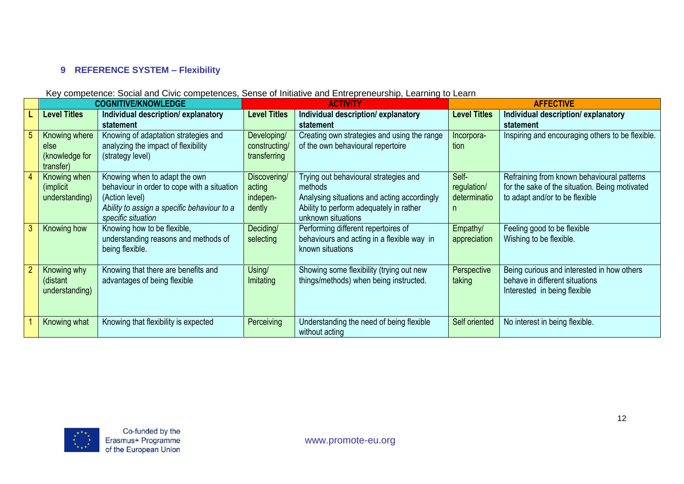## **9 REFERENCE SYSTEM – Flexibility**

<span id="page-11-0"></span>

|                                                      | <b>COGNITIVE/KNOWLEDGE</b>                                                                                                                                          | <b>ACTIVITY</b>                              |                                                                                                                                                                  | <b>AFFECTIVE</b>                          |                                                                                                                                |
|------------------------------------------------------|---------------------------------------------------------------------------------------------------------------------------------------------------------------------|----------------------------------------------|------------------------------------------------------------------------------------------------------------------------------------------------------------------|-------------------------------------------|--------------------------------------------------------------------------------------------------------------------------------|
| <b>Level Titles</b>                                  | Individual description/explanatory<br>statement                                                                                                                     | <b>Level Titles</b>                          | Individual description/explanatory<br>statement                                                                                                                  | <b>Level Titles</b>                       | Individual description/explanatory<br>statement                                                                                |
| Knowing where<br>else<br>(knowledge for<br>transfer) | Knowing of adaptation strategies and<br>analyzing the impact of flexibility<br>(strategy level)                                                                     | Developing/<br>constructing/<br>transferring | Creating own strategies and using the range<br>of the own behavioural repertoire                                                                                 | Incorpora-<br>tion                        | Inspiring and encouraging others to be flexible.                                                                               |
| Knowing when<br>(implicit)<br>understanding)         | Knowing when to adapt the own<br>behaviour in order to cope with a situation<br>(Action level)<br>Ability to assign a specific behaviour to a<br>specific situation | Discovering/<br>acting<br>indepen-<br>dently | Trying out behavioural strategies and<br>methods<br>Analysing situations and acting accordingly<br>Ability to perform adequately in rather<br>unknown situations | Self-<br>regulation/<br>determinatio<br>n | Refraining from known behavioural patterns<br>for the sake of the situation. Being motivated<br>to adapt and/or to be flexible |
| Knowing how                                          | Knowing how to be flexible,<br>understanding reasons and methods of<br>being flexible.                                                                              | Deciding/<br>selecting                       | Performing different repertoires of<br>behaviours and acting in a flexible way in<br>known situations                                                            | Empathy/<br>appreciation                  | Feeling good to be flexible<br>Wishing to be flexible.                                                                         |
| Knowing why<br>(distant<br>understanding)            | Knowing that there are benefits and<br>advantages of being flexible                                                                                                 | Using/<br>Imitating                          | Showing some flexibility (trying out new<br>things/methods) when being instructed.                                                                               | Perspective<br>taking                     | Being curious and interested in how others<br>behave in different situations<br>Interested in being flexible                   |
| Knowing what                                         | Knowing that flexibility is expected                                                                                                                                | Perceiving                                   | Understanding the need of being flexible<br>without acting                                                                                                       | Self oriented                             | No interest in being flexible.                                                                                                 |

#### Key competence: Social and Civic competences, Sense of Initiative and Entrepreneurship, Learning to Learn

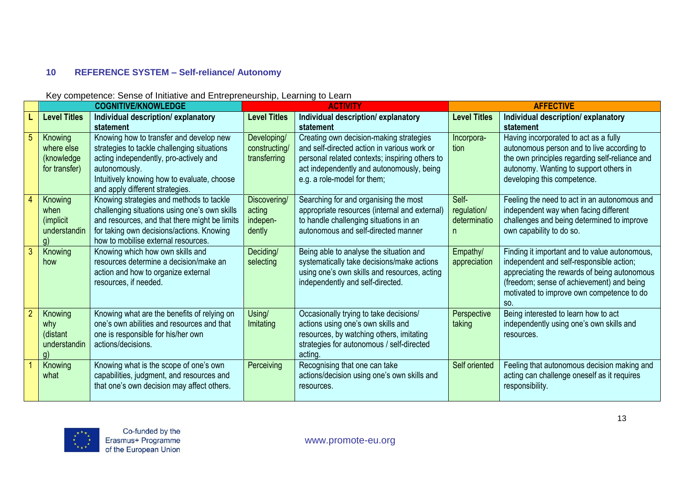## **10 REFERENCE SYSTEM – Self-reliance/ Autonomy**

#### Key competence: Sense of Initiative and Entrepreneurship, Learning to Learn

<span id="page-12-0"></span>

|                |                                                                        | <b>COGNITIVE/KNOWLEDGE</b>                                                                                                                                                                                                          | <b>ACTIVITY</b>                              |                                                                                                                                                                                                                      | <b>AFFECTIVE</b>                           |                                                                                                                                                                                                                                            |
|----------------|------------------------------------------------------------------------|-------------------------------------------------------------------------------------------------------------------------------------------------------------------------------------------------------------------------------------|----------------------------------------------|----------------------------------------------------------------------------------------------------------------------------------------------------------------------------------------------------------------------|--------------------------------------------|--------------------------------------------------------------------------------------------------------------------------------------------------------------------------------------------------------------------------------------------|
|                | <b>Level Titles</b>                                                    | Individual description/explanatory<br>statement                                                                                                                                                                                     | <b>Level Titles</b>                          | Individual description/explanatory<br>statement                                                                                                                                                                      | <b>Level Titles</b>                        | Individual description/explanatory<br>statement                                                                                                                                                                                            |
| 5 <sup>5</sup> | Knowing<br>where else<br>(knowledge<br>for transfer)                   | Knowing how to transfer and develop new<br>strategies to tackle challenging situations<br>acting independently, pro-actively and<br>autonomously.<br>Intuitively knowing how to evaluate, choose<br>and apply different strategies. | Developing/<br>constructing/<br>transferring | Creating own decision-making strategies<br>and self-directed action in various work or<br>personal related contexts; inspiring others to<br>act independently and autonomously, being<br>e.g. a role-model for them; | Incorpora-<br>tion                         | Having incorporated to act as a fully<br>autonomous person and to live according to<br>the own principles regarding self-reliance and<br>autonomy. Wanting to support others in<br>developing this competence.                             |
|                | Knowing<br>when<br><i>(implicit)</i><br>understandin<br>$\mathfrak{g}$ | Knowing strategies and methods to tackle<br>challenging situations using one's own skills<br>and resources, and that there might be limits<br>for taking own decisions/actions. Knowing<br>how to mobilise external resources.      | Discovering/<br>acting<br>indepen-<br>dently | Searching for and organising the most<br>appropriate resources (internal and external)<br>to handle challenging situations in an<br>autonomous and self-directed manner                                              | Self-<br>regulation/<br>determinatio<br>n. | Feeling the need to act in an autonomous and<br>independent way when facing different<br>challenges and being determined to improve<br>own capability to do so.                                                                            |
| 3 <sup>2</sup> | Knowing<br>how                                                         | Knowing which how own skills and<br>resources determine a decision/make an<br>action and how to organize external<br>resources, if needed.                                                                                          | Deciding/<br>selecting                       | Being able to analyse the situation and<br>systematically take decisions/make actions<br>using one's own skills and resources, acting<br>independently and self-directed.                                            | Empathy/<br>appreciation                   | Finding it important and to value autonomous,<br>independent and self-responsible action;<br>appreciating the rewards of being autonomous<br>(freedom; sense of achievement) and being<br>motivated to improve own competence to do<br>SO. |
| $\overline{2}$ | Knowing<br>why<br>(distant<br>understandin<br>a                        | Knowing what are the benefits of relying on<br>one's own abilities and resources and that<br>one is responsible for his/her own<br>actions/decisions.                                                                               | Using/<br>Imitating                          | Occasionally trying to take decisions/<br>actions using one's own skills and<br>resources, by watching others, imitating<br>strategies for autonomous / self-directed<br>acting.                                     | Perspective<br>taking                      | Being interested to learn how to act<br>independently using one's own skills and<br>resources.                                                                                                                                             |
|                | Knowing<br>what                                                        | Knowing what is the scope of one's own<br>capabilities, judgment, and resources and<br>that one's own decision may affect others.                                                                                                   | Perceiving                                   | Recognising that one can take<br>actions/decision using one's own skills and<br>resources.                                                                                                                           | Self oriented                              | Feeling that autonomous decision making and<br>acting can challenge oneself as it requires<br>responsibility.                                                                                                                              |

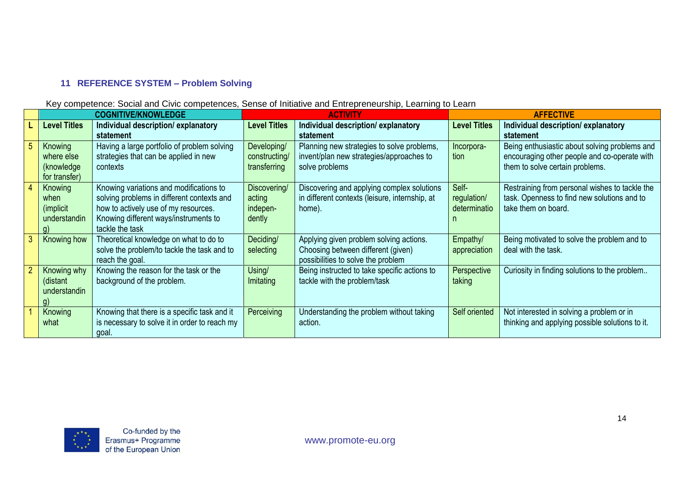#### **11 REFERENCE SYSTEM – Problem Solving**

#### Key competence: Social and Civic competences, Sense of Initiative and Entrepreneurship, Learning to Learn

| <b>COGNITIVE/KNOWLEDGE</b> |                                               | <b>ACTIVITY</b>     |                                                | <b>AFFECTIVE</b>    |                                                 |
|----------------------------|-----------------------------------------------|---------------------|------------------------------------------------|---------------------|-------------------------------------------------|
| <b>Level Titles</b>        | Individual description/explanatory            | <b>Level Titles</b> | Individual description/explanatory             | <b>Level Titles</b> | Individual description/explanatory              |
|                            | statement                                     |                     | statement                                      |                     | statement                                       |
| Knowing                    | Having a large portfolio of problem solving   | Developing/         | Planning new strategies to solve problems,     | Incorpora-          | Being enthusiastic about solving problems and   |
| where else                 | strategies that can be applied in new         | constructing/       | invent/plan new strategies/approaches to       | tion                | encouraging other people and co-operate with    |
| (knowledge                 | contexts                                      | transferring        | solve problems                                 |                     | them to solve certain problems.                 |
| for transfer)              |                                               |                     |                                                |                     |                                                 |
| Knowing                    | Knowing variations and modifications to       | Discovering/        | Discovering and applying complex solutions     | Self-               | Restraining from personal wishes to tackle the  |
| when                       | solving problems in different contexts and    | acting              | in different contexts (leisure, internship, at | regulation/         | task. Openness to find new solutions and to     |
| ( <i>implicit</i>          | how to actively use of my resources.          | indepen-            | home).                                         | determinatio        | take them on board.                             |
| understandin               | Knowing different ways/instruments to         | dently              |                                                |                     |                                                 |
|                            | tackle the task                               |                     |                                                |                     |                                                 |
| Knowing how                | Theoretical knowledge on what to do to        | Deciding/           | Applying given problem solving actions.        | Empathy/            | Being motivated to solve the problem and to     |
|                            | solve the problem/to tackle the task and to   | selecting           | Choosing between different (given)             | appreciation        | deal with the task.                             |
|                            | reach the goal.                               |                     | possibilities to solve the problem             |                     |                                                 |
| Knowing why                | Knowing the reason for the task or the        | Using/              | Being instructed to take specific actions to   | Perspective         | Curiosity in finding solutions to the problem   |
| (distant                   | background of the problem.                    | Imitating           | tackle with the problem/task                   | taking              |                                                 |
| understandin               |                                               |                     |                                                |                     |                                                 |
| g)                         |                                               |                     |                                                |                     |                                                 |
| Knowing                    | Knowing that there is a specific task and it  | Perceiving          | Understanding the problem without taking       | Self oriented       | Not interested in solving a problem or in       |
| what                       | is necessary to solve it in order to reach my |                     | action.                                        |                     | thinking and applying possible solutions to it. |
|                            | goal.                                         |                     |                                                |                     |                                                 |

<span id="page-13-0"></span>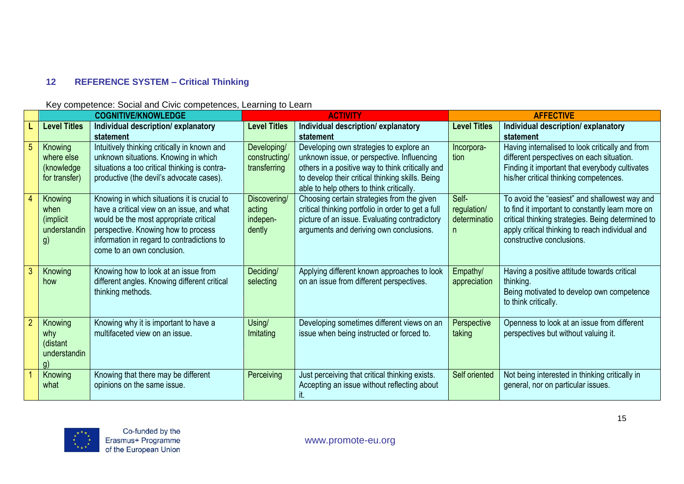## **12 REFERENCE SYSTEM – Critical Thinking**

#### Key competence: Social and Civic competences, Learning to Learn

<span id="page-14-0"></span>

| <b>COGNITIVE/KNOWLEDGE</b>                                 |                                                                                                                                                                                                                                                         | <b>ACTIVITY</b>                              |                                                                                                                                                                                                                                                        | <b>AFFECTIVE</b>                           |                                                                                                                                                                                                                                        |
|------------------------------------------------------------|---------------------------------------------------------------------------------------------------------------------------------------------------------------------------------------------------------------------------------------------------------|----------------------------------------------|--------------------------------------------------------------------------------------------------------------------------------------------------------------------------------------------------------------------------------------------------------|--------------------------------------------|----------------------------------------------------------------------------------------------------------------------------------------------------------------------------------------------------------------------------------------|
| <b>Level Titles</b>                                        | Individual description/explanatory                                                                                                                                                                                                                      | <b>Level Titles</b>                          | Individual description/explanatory                                                                                                                                                                                                                     | <b>Level Titles</b>                        | Individual description/explanatory                                                                                                                                                                                                     |
| Knowing<br>where else<br>(knowledge<br>for transfer)       | statement<br>Intuitively thinking critically in known and<br>unknown situations. Knowing in which<br>situations a too critical thinking is contra-<br>productive (the devil's advocate cases).                                                          | Developing/<br>constructing/<br>transferring | statement<br>Developing own strategies to explore an<br>unknown issue, or perspective. Influencing<br>others in a positive way to think critically and<br>to develop their critical thinking skills. Being<br>able to help others to think critically. | Incorpora-<br>tion                         | statement<br>Having internalised to look critically and from<br>different perspectives on each situation.<br>Finding it important that everybody cultivates<br>his/her critical thinking competences.                                  |
| Knowing<br>when<br><i>(implicit)</i><br>understandin<br>g) | Knowing in which situations it is crucial to<br>have a critical view on an issue, and what<br>would be the most appropriate critical<br>perspective. Knowing how to process<br>information in regard to contradictions to<br>come to an own conclusion. | Discovering/<br>acting<br>indepen-<br>dently | Choosing certain strategies from the given<br>critical thinking portfolio in order to get a full<br>picture of an issue. Evaluating contradictory<br>arguments and deriving own conclusions.                                                           | Self-<br>regulation/<br>determinatio<br>n. | To avoid the "easiest" and shallowest way and<br>to find it important to constantly learn more on<br>critical thinking strategies. Being determined to<br>apply critical thinking to reach individual and<br>constructive conclusions. |
| Knowing<br>how                                             | Knowing how to look at an issue from<br>different angles. Knowing different critical<br>thinking methods.                                                                                                                                               | Deciding/<br>selecting                       | Applying different known approaches to look<br>on an issue from different perspectives.                                                                                                                                                                | Empathy/<br>appreciation                   | Having a positive attitude towards critical<br>thinking.<br>Being motivated to develop own competence<br>to think critically.                                                                                                          |
| Knowing<br>why<br>(distant<br>understandin<br>q)           | Knowing why it is important to have a<br>multifaceted view on an issue.                                                                                                                                                                                 | Using/<br>Imitating                          | Developing sometimes different views on an<br>issue when being instructed or forced to.                                                                                                                                                                | Perspective<br>taking                      | Openness to look at an issue from different<br>perspectives but without valuing it.                                                                                                                                                    |
| Knowing<br>what                                            | Knowing that there may be different<br>opinions on the same issue.                                                                                                                                                                                      | Perceiving                                   | Just perceiving that critical thinking exists.<br>Accepting an issue without reflecting about                                                                                                                                                          | Self oriented                              | Not being interested in thinking critically in<br>general, nor on particular issues.                                                                                                                                                   |

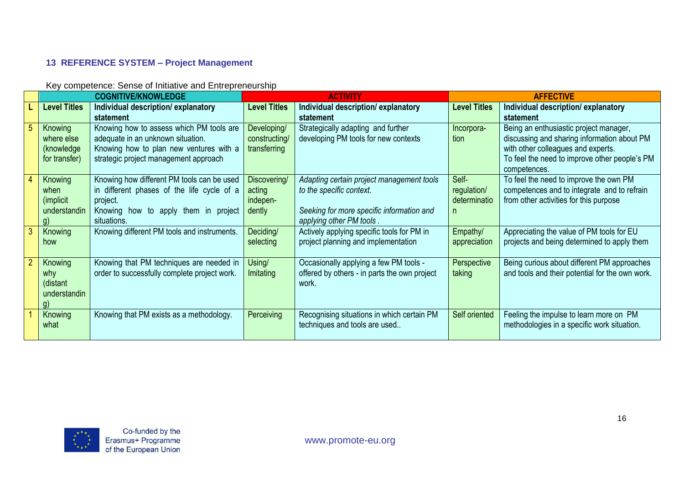## **13 REFERENCE SYSTEM – Project Management**

Key competence: Sense of Initiative and Entrepreneurship

<span id="page-15-0"></span>

|              | <b>COGNITIVE/KNOWLEDGE</b>                                   |                                                                                                                                                                   | <b>ACTIVITY</b>                              |                                                                                                                                                | <b>AFFECTIVE</b>                           |                                                                                                                                                                                              |
|--------------|--------------------------------------------------------------|-------------------------------------------------------------------------------------------------------------------------------------------------------------------|----------------------------------------------|------------------------------------------------------------------------------------------------------------------------------------------------|--------------------------------------------|----------------------------------------------------------------------------------------------------------------------------------------------------------------------------------------------|
|              | <b>Level Titles</b>                                          | Individual description/explanatory<br>statement                                                                                                                   | <b>Level Titles</b>                          | Individual description/explanatory<br>statement                                                                                                | <b>Level Titles</b>                        | Individual description/explanatory<br>statement                                                                                                                                              |
|              | Knowing<br>where else<br>(knowledge<br>for transfer)         | Knowing how to assess which PM tools are<br>adequate in an unknown situation.<br>Knowing how to plan new ventures with a<br>strategic project management approach | Developing/<br>constructing/<br>transferring | Strategically adapting and further<br>developing PM tools for new contexts                                                                     | Incorpora-<br>tion                         | Being an enthusiastic project manager,<br>discussing and sharing information about PM<br>with other colleagues and experts.<br>To feel the need to improve other people's PM<br>competences. |
|              | Knowing<br>when<br>( <i>implicit</i> )<br>understandin<br>q) | Knowing how different PM tools can be used<br>in different phases of the life cycle of a<br>project.<br>Knowing how to apply them in project<br>situations.       | Discovering/<br>acting<br>indepen-<br>dently | Adapting certain project management tools<br>to the specific context.<br>Seeking for more specific information and<br>applying other PM tools. | Self-<br>regulation/<br>determinatio<br>n. | To feel the need to improve the own PM<br>competences and to integrate and to refrain<br>from other activities for this purpose                                                              |
| $\mathbf{3}$ | Knowing<br>how                                               | Knowing different PM tools and instruments.                                                                                                                       | Deciding/<br>selecting                       | Actively applying specific tools for PM in<br>project planning and implementation                                                              | Empathy/<br>appreciation                   | Appreciating the value of PM tools for EU<br>projects and being determined to apply them                                                                                                     |
| $2 -$        | Knowing<br>why<br>(distant<br>understandin<br>g)             | Knowing that PM techniques are needed in<br>order to successfully complete project work.                                                                          | Using/<br>Imitating                          | Occasionally applying a few PM tools -<br>offered by others - in parts the own project<br>work.                                                | Perspective<br>taking                      | Being curious about different PM approaches<br>and tools and their potential for the own work.                                                                                               |
|              | Knowing<br>what                                              | Knowing that PM exists as a methodology.                                                                                                                          | Perceiving                                   | Recognising situations in which certain PM<br>techniques and tools are used                                                                    | Self oriented                              | Feeling the impulse to learn more on PM<br>methodologies in a specific work situation.                                                                                                       |

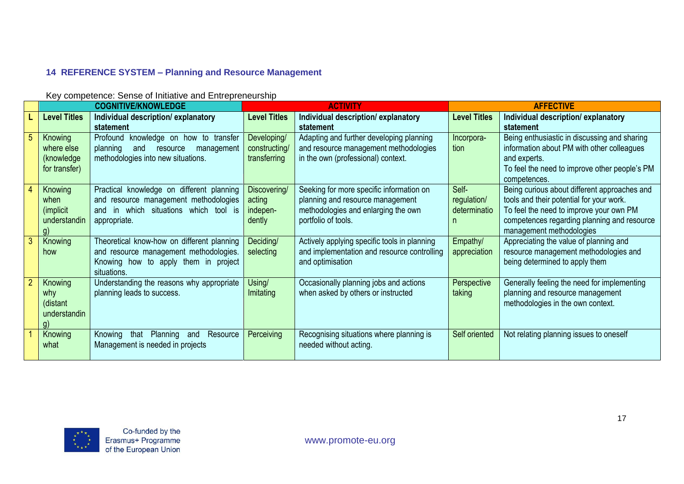# **14 REFERENCE SYSTEM – Planning and Resource Management**

Key competence: Sense of Initiative and Entrepreneurship

<span id="page-16-0"></span>

|                | <b>COGNITIVE/KNOWLEDGE</b> |                                                     | <b>ACTIVITY</b>     |                                              | <b>AFFECTIVE</b>    |                                                               |
|----------------|----------------------------|-----------------------------------------------------|---------------------|----------------------------------------------|---------------------|---------------------------------------------------------------|
|                | <b>Level Titles</b>        | Individual description/explanatory                  | <b>Level Titles</b> | Individual description/explanatory           | <b>Level Titles</b> | Individual description/explanatory                            |
|                |                            | statement                                           |                     | statement                                    |                     | statement                                                     |
|                | Knowing                    | Profound knowledge on how to transfer               | Developing/         | Adapting and further developing planning     | Incorpora-          | Being enthusiastic in discussing and sharing                  |
|                | where else                 | planning<br>and<br>resource<br>management           | constructing/       | and resource management methodologies        | tion                | information about PM with other colleagues                    |
|                | (knowledge)                | methodologies into new situations.                  | transferring        | in the own (professional) context.           |                     | and experts.                                                  |
|                | for transfer)              |                                                     |                     |                                              |                     | To feel the need to improve other people's PM<br>competences. |
|                | Knowing                    | Practical knowledge on different planning           | Discovering/        | Seeking for more specific information on     | Self-               | Being curious about different approaches and                  |
|                | when                       | and resource management methodologies               | acting              | planning and resource management             | regulation/         | tools and their potential for your work.                      |
|                | (implicit)                 | in which situations which tool is<br>and            | indepen-            | methodologies and enlarging the own          | determinatio        | To feel the need to improve your own PM                       |
|                | understandin               | appropriate.                                        | dently              | portfolio of tools.                          |                     | competences regarding planning and resource                   |
|                |                            |                                                     |                     |                                              |                     | management methodologies                                      |
| 3              | Knowing                    | Theoretical know-how on different planning          | Deciding/           | Actively applying specific tools in planning | Empathy/            | Appreciating the value of planning and                        |
|                | how                        | and resource management methodologies.              | selecting           | and implementation and resource controlling  | appreciation        | resource management methodologies and                         |
|                |                            | Knowing how to apply them in project<br>situations. |                     | and optimisation                             |                     | being determined to apply them                                |
| $\overline{2}$ | Knowing                    | Understanding the reasons why appropriate           | Using/              | Occasionally planning jobs and actions       | Perspective         | Generally feeling the need for implementing                   |
|                | why                        | planning leads to success.                          | Imitating           | when asked by others or instructed           | taking              | planning and resource management                              |
|                | (distant                   |                                                     |                     |                                              |                     | methodologies in the own context.                             |
|                | understandin               |                                                     |                     |                                              |                     |                                                               |
|                | q)                         |                                                     |                     |                                              |                     |                                                               |
|                | Knowing                    | Resource<br>Knowing<br>Planning<br>that<br>and      | Perceiving          | Recognising situations where planning is     | Self oriented       | Not relating planning issues to oneself                       |
|                | what                       | Management is needed in projects                    |                     | needed without acting.                       |                     |                                                               |
|                |                            |                                                     |                     |                                              |                     |                                                               |

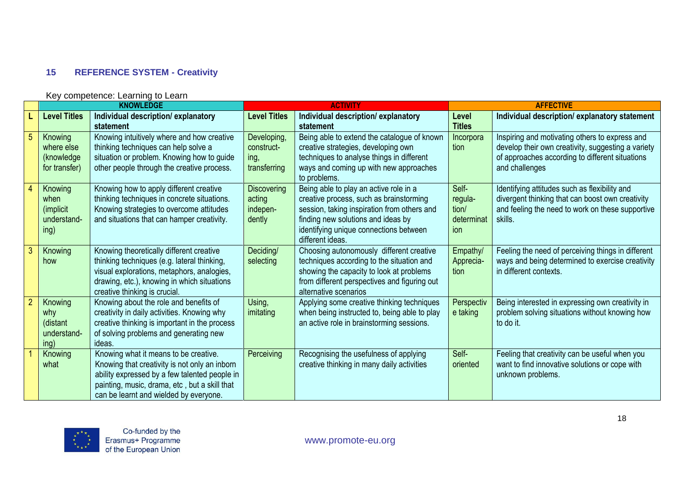## **15 REFERENCE SYSTEM - Creativity**

<span id="page-17-0"></span>

|                |                                                      | Key competence: Learning to Learn                                                                                                                                                                                                  |                                                    |                                                                                                                                                                                                                                      |                                                |                                                                                                                                                                           |  |  |
|----------------|------------------------------------------------------|------------------------------------------------------------------------------------------------------------------------------------------------------------------------------------------------------------------------------------|----------------------------------------------------|--------------------------------------------------------------------------------------------------------------------------------------------------------------------------------------------------------------------------------------|------------------------------------------------|---------------------------------------------------------------------------------------------------------------------------------------------------------------------------|--|--|
|                |                                                      | <b>KNOWLEDGE</b>                                                                                                                                                                                                                   | <b>ACTIVITY</b>                                    |                                                                                                                                                                                                                                      |                                                | <b>AFFECTIVE</b>                                                                                                                                                          |  |  |
|                | <b>Level Titles</b>                                  | Individual description/explanatory<br>statement                                                                                                                                                                                    | <b>Level Titles</b>                                | Individual description/explanatory<br>statement                                                                                                                                                                                      | Level<br><b>Titles</b>                         | Individual description/explanatory statement                                                                                                                              |  |  |
|                | Knowing<br>where else<br>(knowledge<br>for transfer) | Knowing intuitively where and how creative<br>thinking techniques can help solve a<br>situation or problem. Knowing how to guide<br>other people through the creative process.                                                     | Developing,<br>construct-<br>ing,<br>transferring  | Being able to extend the catalogue of known<br>creative strategies, developing own<br>techniques to analyse things in different<br>ways and coming up with new approaches<br>to problems.                                            | Incorpora<br>tion                              | Inspiring and motivating others to express and<br>develop their own creativity, suggesting a variety<br>of approaches according to different situations<br>and challenges |  |  |
|                | Knowing<br>when<br>(implicit)<br>understand-<br>ing) | Knowing how to apply different creative<br>thinking techniques in concrete situations.<br>Knowing strategies to overcome attitudes<br>and situations that can hamper creativity.                                                   | <b>Discovering</b><br>acting<br>indepen-<br>dently | Being able to play an active role in a<br>creative process, such as brainstorming<br>session, taking inspiration from others and<br>finding new solutions and ideas by<br>identifying unique connections between<br>different ideas. | Self-<br>regula-<br>tion/<br>determinat<br>ion | Identifying attitudes such as flexibility and<br>divergent thinking that can boost own creativity<br>and feeling the need to work on these supportive<br>skills.          |  |  |
| $\mathbf{3}$   | Knowing<br>how                                       | Knowing theoretically different creative<br>thinking techniques (e.g. lateral thinking,<br>visual explorations, metaphors, analogies,<br>drawing, etc.), knowing in which situations<br>creative thinking is crucial.              | Deciding/<br>selecting                             | Choosing autonomously different creative<br>techniques according to the situation and<br>showing the capacity to look at problems<br>from different perspectives and figuring out<br>alternative scenarios                           | Empathy/<br>Apprecia-<br>tion                  | Feeling the need of perceiving things in different<br>ways and being determined to exercise creativity<br>in different contexts.                                          |  |  |
| $\overline{2}$ | Knowing<br>why<br>(distant<br>understand-<br>ing)    | Knowing about the role and benefits of<br>creativity in daily activities. Knowing why<br>creative thinking is important in the process<br>of solving problems and generating new<br>ideas.                                         | Using,<br>imitating                                | Applying some creative thinking techniques<br>when being instructed to, being able to play<br>an active role in brainstorming sessions.                                                                                              | Perspectiv<br>e taking                         | Being interested in expressing own creativity in<br>problem solving situations without knowing how<br>to do it.                                                           |  |  |
|                | Knowing<br>what                                      | Knowing what it means to be creative.<br>Knowing that creativity is not only an inborn<br>ability expressed by a few talented people in<br>painting, music, drama, etc, but a skill that<br>can be learnt and wielded by everyone. | Perceiving                                         | Recognising the usefulness of applying<br>creative thinking in many daily activities                                                                                                                                                 | Self-<br>oriented                              | Feeling that creativity can be useful when you<br>want to find innovative solutions or cope with<br>unknown problems.                                                     |  |  |

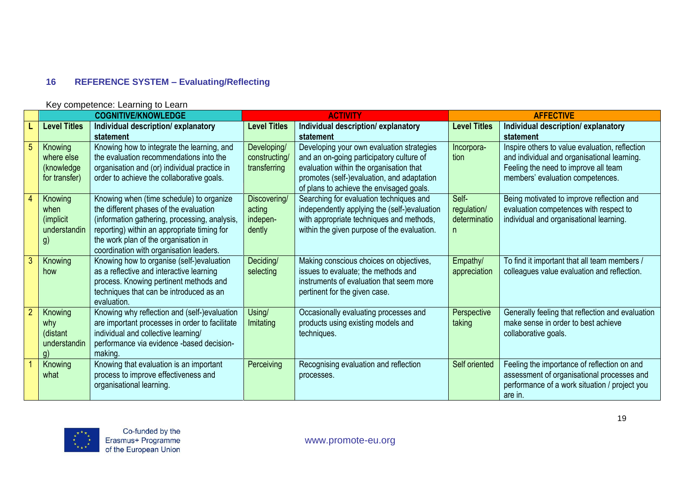# **16 REFERENCE SYSTEM – Evaluating/Reflecting**

<span id="page-18-0"></span>

|                | <b>COGNITIVE/KNOWLEDGE</b>                           |                                                                                                                                                                                                                                                                       | <b>ACTIVITY</b>                              |                                                                                                                                                                                                                            | <b>AFFECTIVE</b>                          |                                                                                                                                                                           |
|----------------|------------------------------------------------------|-----------------------------------------------------------------------------------------------------------------------------------------------------------------------------------------------------------------------------------------------------------------------|----------------------------------------------|----------------------------------------------------------------------------------------------------------------------------------------------------------------------------------------------------------------------------|-------------------------------------------|---------------------------------------------------------------------------------------------------------------------------------------------------------------------------|
|                | <b>Level Titles</b>                                  | Individual description/explanatory<br>statement                                                                                                                                                                                                                       | <b>Level Titles</b>                          | Individual description/explanatory<br>statement                                                                                                                                                                            | <b>Level Titles</b>                       | Individual description/explanatory<br>statement                                                                                                                           |
| 5 <sup>5</sup> | Knowing<br>where else<br>(knowledge<br>for transfer) | Knowing how to integrate the learning, and<br>the evaluation recommendations into the<br>organisation and (or) individual practice in<br>order to achieve the collaborative goals.                                                                                    | Developing/<br>constructing/<br>transferring | Developing your own evaluation strategies<br>and an on-going participatory culture of<br>evaluation within the organisation that<br>promotes (self-)evaluation, and adaptation<br>of plans to achieve the envisaged goals. | Incorpora-<br>tion                        | Inspire others to value evaluation, reflection<br>and individual and organisational learning.<br>Feeling the need to improve all team<br>members' evaluation competences. |
|                | Knowing<br>when<br>(implicit)<br>understandin<br>g)  | Knowing when (time schedule) to organize<br>the different phases of the evaluation<br>(information gathering, processing, analysis,<br>reporting) within an appropriate timing for<br>the work plan of the organisation in<br>coordination with organisation leaders. | Discovering/<br>acting<br>indepen-<br>dently | Searching for evaluation techniques and<br>independently applying the (self-)evaluation<br>with appropriate techniques and methods,<br>within the given purpose of the evaluation.                                         | Self-<br>regulation/<br>determinatio<br>n | Being motivated to improve reflection and<br>evaluation competences with respect to<br>individual and organisational learning.                                            |
| 3              | Knowing<br>how                                       | Knowing how to organise (self-)evaluation<br>as a reflective and interactive learning<br>process. Knowing pertinent methods and<br>techniques that can be introduced as an<br>evaluation.                                                                             | Deciding/<br>selecting                       | Making conscious choices on objectives,<br>issues to evaluate; the methods and<br>instruments of evaluation that seem more<br>pertinent for the given case.                                                                | Empathy/<br>appreciation                  | To find it important that all team members /<br>colleagues value evaluation and reflection.                                                                               |
| 2 <sup>2</sup> | Knowing<br>why<br>(distant<br>understandin<br>q)     | Knowing why reflection and (self-)evaluation<br>are important processes in order to facilitate<br>individual and collective learning/<br>performance via evidence -based decision-<br>making.                                                                         | Using/<br>Imitating                          | Occasionally evaluating processes and<br>products using existing models and<br>techniques.                                                                                                                                 | Perspective<br>taking                     | Generally feeling that reflection and evaluation<br>make sense in order to best achieve<br>collaborative goals.                                                           |
|                | Knowing<br>what                                      | Knowing that evaluation is an important<br>process to improve effectiveness and<br>organisational learning.                                                                                                                                                           | Perceiving                                   | Recognising evaluation and reflection<br>processes.                                                                                                                                                                        | Self oriented                             | Feeling the importance of reflection on and<br>assessment of organisational processes and<br>performance of a work situation / project you<br>are in.                     |

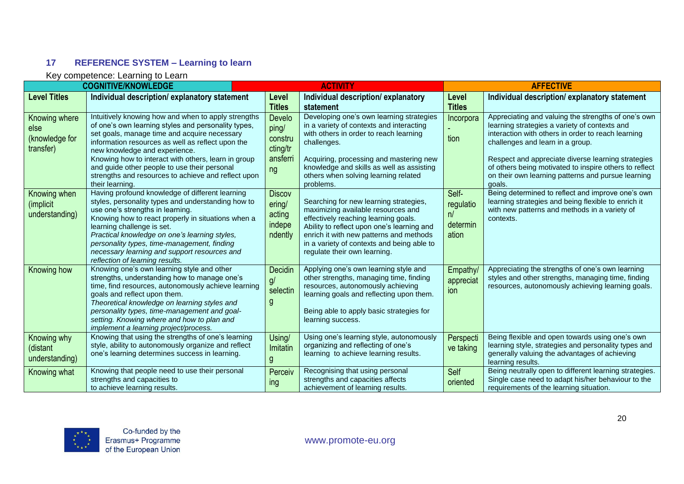## **17 REFERENCE SYSTEM – Learning to learn**

|                                                      | <b>COGNITIVE/KNOWLEDGE</b>                                                                                                                                                                                                                                                                                                                                                                                                        | <b>ACTIVITY</b>                                          |                                                                                                                                                                                                                                                                                             | <b>AFFECTIVE</b>                              |                                                                                                                                                                                                                                                                                                                                                                                |  |
|------------------------------------------------------|-----------------------------------------------------------------------------------------------------------------------------------------------------------------------------------------------------------------------------------------------------------------------------------------------------------------------------------------------------------------------------------------------------------------------------------|----------------------------------------------------------|---------------------------------------------------------------------------------------------------------------------------------------------------------------------------------------------------------------------------------------------------------------------------------------------|-----------------------------------------------|--------------------------------------------------------------------------------------------------------------------------------------------------------------------------------------------------------------------------------------------------------------------------------------------------------------------------------------------------------------------------------|--|
| <b>Level Titles</b>                                  | Individual description/explanatory statement                                                                                                                                                                                                                                                                                                                                                                                      | Level<br><b>Titles</b>                                   | Individual description/explanatory<br>statement                                                                                                                                                                                                                                             | Level<br><b>Titles</b>                        | Individual description/explanatory statement                                                                                                                                                                                                                                                                                                                                   |  |
| Knowing where<br>else<br>(knowledge for<br>transfer) | Intuitively knowing how and when to apply strengths<br>of one's own learning styles and personality types,<br>set goals, manage time and acquire necessary<br>information resources as well as reflect upon the<br>new knowledge and experience.<br>Knowing how to interact with others, learn in group<br>and guide other people to use their personal<br>strengths and resources to achieve and reflect upon<br>their learning. | Develo<br>ping/<br>constru<br>cting/tr<br>ansferri<br>ng | Developing one's own learning strategies<br>in a variety of contexts and interacting<br>with others in order to reach learning<br>challenges.<br>Acquiring, processing and mastering new<br>knowledge and skills as well as assisting<br>others when solving learning related<br>problems.  | Incorpora<br>tion                             | Appreciating and valuing the strengths of one's own<br>learning strategies a variety of contexts and<br>interaction with others in order to reach learning<br>challenges and learn in a group.<br>Respect and appreciate diverse learning strategies<br>of others being motivated to inspire others to reflect<br>on their own learning patterns and pursue learning<br>goals. |  |
| Knowing when<br>(implicit)<br>understanding)         | Having profound knowledge of different learning<br>styles, personality types and understanding how to<br>use one's strengths in learning.<br>Knowing how to react properly in situations when a<br>learning challenge is set.<br>Practical knowledge on one's learning styles,<br>personality types, time-management, finding<br>necessary learning and support resources and<br>reflection of learning results.                  | <b>Discov</b><br>ering/<br>acting<br>indepe<br>ndently   | Searching for new learning strategies,<br>maximizing available resources and<br>effectively reaching learning goals.<br>Ability to reflect upon one's learning and<br>enrich it with new patterns and methods<br>in a variety of contexts and being able to<br>regulate their own learning. | Self-<br>regulatio<br>n/<br>determin<br>ation | Being determined to reflect and improve one's own<br>learning strategies and being flexible to enrich it<br>with new patterns and methods in a variety of<br>contexts.                                                                                                                                                                                                         |  |
| Knowing how                                          | Knowing one's own learning style and other<br>strengths, understanding how to manage one's<br>time, find resources, autonomously achieve learning<br>goals and reflect upon them.<br>Theoretical knowledge on learning styles and<br>personality types, time-management and goal-<br>setting. Knowing where and how to plan and<br>implement a learning project/process.                                                          | Decidin<br>g/<br>selectin<br>g                           | Applying one's own learning style and<br>other strengths, managing time, finding<br>resources, autonomously achieving<br>learning goals and reflecting upon them.<br>Being able to apply basic strategies for<br>learning success.                                                          | Empathy<br>appreciat<br>ion                   | Appreciating the strengths of one's own learning<br>styles and other strengths, managing time, finding<br>resources, autonomously achieving learning goals.                                                                                                                                                                                                                    |  |
| Knowing why<br>(distant<br>understanding)            | Knowing that using the strengths of one's learning<br>style, ability to autonomously organize and reflect<br>one's learning determines success in learning.                                                                                                                                                                                                                                                                       | Using/<br>Imitatin                                       | Using one's learning style, autonomously<br>organizing and reflecting of one's<br>learning to achieve learning results.                                                                                                                                                                     | Perspecti<br>ve taking                        | Being flexible and open towards using one's own<br>learning style, strategies and personality types and<br>generally valuing the advantages of achieving<br>learning results.                                                                                                                                                                                                  |  |
| Knowing what                                         | Knowing that people need to use their personal<br>strengths and capacities to<br>to achieve learning results.                                                                                                                                                                                                                                                                                                                     | Perceiv<br>ing                                           | Recognising that using personal<br>strengths and capacities affects<br>achievement of learning results.                                                                                                                                                                                     | Self<br>oriented                              | Being neutrally open to different learning strategies.<br>Single case need to adapt his/her behaviour to the<br>requirements of the learning situation.                                                                                                                                                                                                                        |  |

<span id="page-19-0"></span>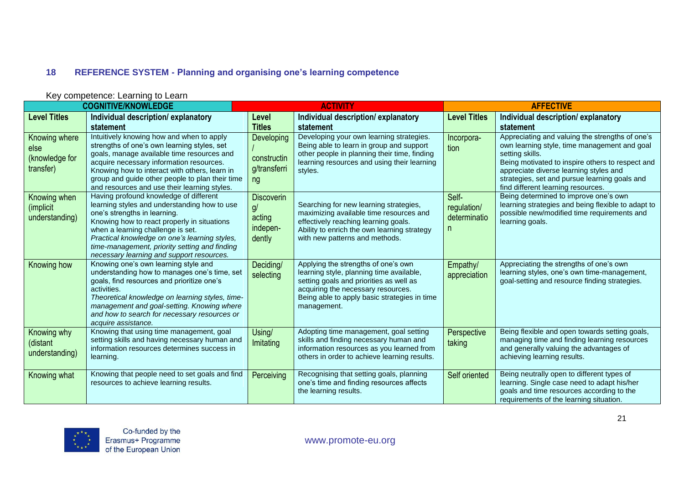## **18 REFERENCE SYSTEM - Planning and organising one's learning competence**

<span id="page-20-0"></span>

|                                                      | <b>COGNITIVE/KNOWLEDGE</b>                                                                                                                                                                                                                                                                                                                                | <b>ACTIVITY</b>                                         |                                                                                                                                                                                                                                 | <b>AFFECTIVE</b>                           |                                                                                                                                                                                                                                                                                                         |  |
|------------------------------------------------------|-----------------------------------------------------------------------------------------------------------------------------------------------------------------------------------------------------------------------------------------------------------------------------------------------------------------------------------------------------------|---------------------------------------------------------|---------------------------------------------------------------------------------------------------------------------------------------------------------------------------------------------------------------------------------|--------------------------------------------|---------------------------------------------------------------------------------------------------------------------------------------------------------------------------------------------------------------------------------------------------------------------------------------------------------|--|
| <b>Level Titles</b>                                  | Individual description/explanatory<br>statement                                                                                                                                                                                                                                                                                                           | Level<br><b>Titles</b>                                  | Individual description/explanatory<br>statement                                                                                                                                                                                 | <b>Level Titles</b>                        | Individual description/explanatory<br>statement                                                                                                                                                                                                                                                         |  |
| Knowing where<br>else<br>(knowledge for<br>transfer) | Intuitively knowing how and when to apply<br>strengths of one's own learning styles, set<br>goals, manage available time resources and<br>acquire necessary information resources.<br>Knowing how to interact with others, learn in<br>group and guide other people to plan their time<br>and resources and use their learning styles.                    | <b>Developing</b><br>constructin<br>g/transferri<br>ng  | Developing your own learning strategies.<br>Being able to learn in group and support<br>other people in planning their time, finding<br>learning resources and using their learning<br>styles.                                  | Incorpora-<br>tion                         | Appreciating and valuing the strengths of one's<br>own learning style, time management and goal<br>setting skills.<br>Being motivated to inspire others to respect and<br>appreciate diverse learning styles and<br>strategies, set and pursue learning goals and<br>find different learning resources. |  |
| Knowing when<br>(implicit<br>understanding)          | Having profound knowledge of different<br>learning styles and understanding how to use<br>one's strengths in learning.<br>Knowing how to react properly in situations<br>when a learning challenge is set.<br>Practical knowledge on one's learning styles,<br>time-management, priority setting and finding<br>necessary learning and support resources. | <b>Discoverin</b><br>g/<br>acting<br>indepen-<br>dently | Searching for new learning strategies,<br>maximizing available time resources and<br>effectively reaching learning goals.<br>Ability to enrich the own learning strategy<br>with new patterns and methods.                      | Self-<br>regulation/<br>determinatio<br>n. | Being determined to improve one's own<br>learning strategies and being flexible to adapt to<br>possible new/modified time requirements and<br>learning goals.                                                                                                                                           |  |
| Knowing how                                          | Knowing one's own learning style and<br>understanding how to manages one's time, set<br>goals, find resources and prioritize one's<br>activities.<br>Theoretical knowledge on learning styles, time-<br>management and goal-setting. Knowing where<br>and how to search for necessary resources or<br>acquire assistance.                                 | Deciding/<br>selecting                                  | Applying the strengths of one's own<br>learning style, planning time available,<br>setting goals and priorities as well as<br>acquiring the necessary resources.<br>Being able to apply basic strategies in time<br>management. | Empathy/<br>appreciation                   | Appreciating the strengths of one's own<br>learning styles, one's own time-management,<br>goal-setting and resource finding strategies.                                                                                                                                                                 |  |
| Knowing why<br>(distant<br>understanding)            | Knowing that using time management, goal<br>setting skills and having necessary human and<br>information resources determines success in<br>learning.                                                                                                                                                                                                     | Using/<br>Imitating                                     | Adopting time management, goal setting<br>skills and finding necessary human and<br>information resources as you learned from<br>others in order to achieve learning results.                                                   | Perspective<br>taking                      | Being flexible and open towards setting goals,<br>managing time and finding learning resources<br>and generally valuing the advantages of<br>achieving learning results.                                                                                                                                |  |
| Knowing what                                         | Knowing that people need to set goals and find<br>resources to achieve learning results.                                                                                                                                                                                                                                                                  | Perceiving                                              | Recognising that setting goals, planning<br>one's time and finding resources affects<br>the learning results.                                                                                                                   | Self oriented                              | Being neutrally open to different types of<br>learning. Single case need to adapt his/her<br>goals and time resources according to the<br>requirements of the learning situation.                                                                                                                       |  |